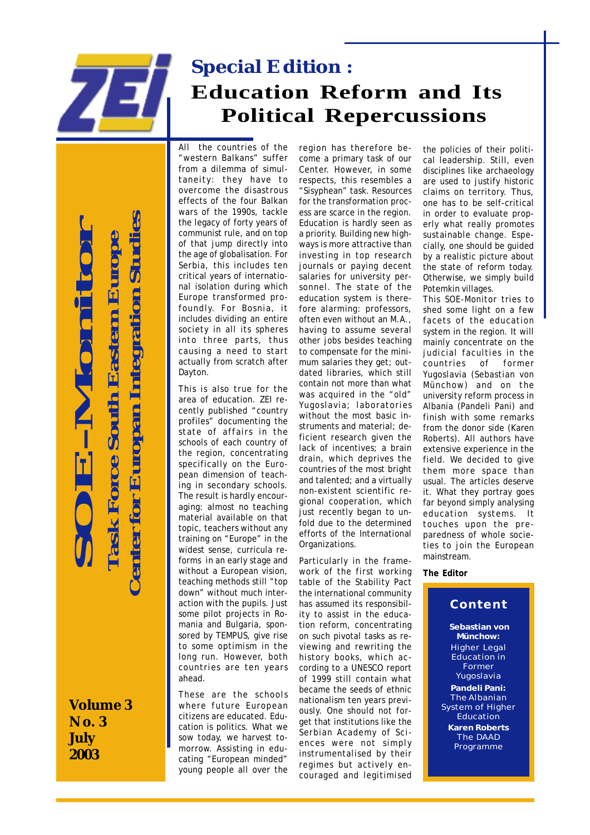

# **Special Edition : Education Reform and Its Political Repercussions**

All the countries of the "western Balkans" suffer from a dilemma of simultaneity: they have to overcome the disastrous effects of the four Balkan wars of the 1990s, tackle the legacy of forty years of communist rule, and on top of that jump directly into the age of globalisation. For Serbia, this includes ten critical years of international isolation during which Europe transformed profoundly. For Bosnia, it includes dividing an entire society in all its spheres into three parts, thus causing a need to start actually from scratch after Dayton.

This is also true for the area of education. ZEI recently published "country profiles" documenting the state of affairs in the schools of each country of the region, concentrating specifically on the European dimension of teaching in secondary schools. The result is hardly encouraging: almost no teaching material available on that topic, teachers without any training on "Europe" in the widest sense, curricula reforms in an early stage and without a European vision, teaching methods still "top down" without much interaction with the pupils. Just some pilot projects in Romania and Bulgaria, sponsored by TEMPUS, give rise to some optimism in the long run. However, both countries are ten years ahead.

These are the schools where future European citizens are educated. Education is politics. What we sow today, we harvest tomorrow. Assisting in educating "European minded" young people all over the

region has therefore become a primary task of our Center. However, in some respects, this resembles a "Sisyphean" task. Resources for the transformation process are scarce in the region. Education is hardly seen as a priority. Building new highways is more attractive than investing in top research journals or paying decent salaries for university personnel. The state of the education system is therefore alarming: professors, often even without an M.A., having to assume several other jobs besides teaching to compensate for the minimum salaries they get; outdated libraries, which still contain not more than what was acquired in the "old" Yugoslavia; laboratories without the most basic instruments and material; deficient research given the lack of incentives; a brain drain, which deprives the countries of the most bright and talented; and a virtually non-existent scientific regional cooperation, which just recently began to unfold due to the determined efforts of the International Organizations.

Particularly in the framework of the first working table of the Stability Pact the international community has assumed its responsibility to assist in the education reform, concentrating on such pivotal tasks as reviewing and rewriting the history books, which according to a UNESCO report of 1999 still contain what became the seeds of ethnic nationalism ten years previously. One should not forget that institutions like the Serbian Academy of Sciences were not simply instrumentalised by their regimes but actively encouraged and legitimised

the policies of their political leadership. Still, even disciplines like archaeology are used to justify historic claims on territory. Thus, one has to be self-critical in order to evaluate properly what really promotes *sustainable* change. Especially, one should be guided by a realistic picture about the state of reform today. Otherwise, we simply build Potemkin villages.

This SOE-Monitor tries to shed some light on a few facets of the education system in the region. It will mainly concentrate on the judicial faculties in the<br>countries of former countries of former Yugoslavia (Sebastian von Münchow) and on the university reform process in Albania (Pandeli Pani) and finish with some remarks from the donor side (Karen Roberts). All authors have extensive experience in the field. We decided to give them more space than usual. The articles deserve it. What they portray goes far beyond simply analysing education systems. It touches upon the preparedness of whole societies to join the European mainstream.

#### **The Editor**

### **Content**

**Sebastian von Münchow:** Higher Legal Education in **Former** Yugoslavia **Pandeli Pani:** The Albanian System of Higher Education **Karen Roberts** The DAAD Programme

**Volume 3 No. 3 July 2003**

**SOE-Monitor**

Moni

 **Task Force South Eastern Europe**

**Task Force South Eastern Europe** 

 **Center for Europan Integration Studies**

**'enter for Europan Integration Studies**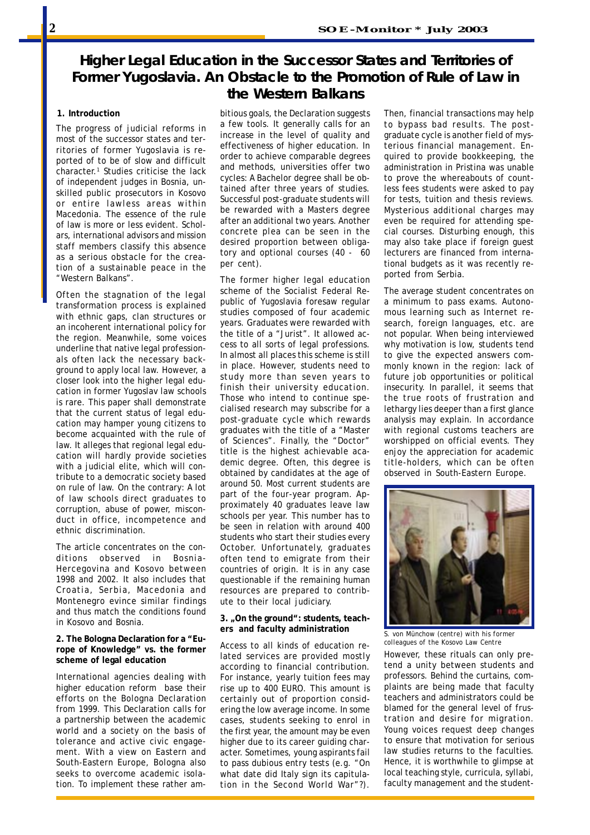# **Higher Legal Education in the Successor States and Territories of Former Yugoslavia. An Obstacle to the Promotion of Rule of Law in the Western Balkans**

#### **1. Introduction**

The progress of judicial reforms in most of the successor states and territories of former Yugoslavia is reported of to be of slow and difficult character.1 Studies criticise the lack of independent judges in Bosnia, unskilled public prosecutors in Kosovo or entire lawless areas within Macedonia. The essence of the rule of law is more or less evident. Scholars, international advisors and mission staff members classify this absence as a serious obstacle for the creation of a sustainable peace in the "Western Balkans".

Often the stagnation of the legal transformation process is explained with ethnic gaps, clan structures or an incoherent international policy for the region. Meanwhile, some voices underline that native legal professionals often lack the necessary background to apply local law. However, a closer look into the higher legal education in former Yugoslav law schools is rare. This paper shall demonstrate that the current status of legal education may hamper young citizens to become acquainted with the rule of law. It alleges that regional legal education will hardly provide societies with a judicial elite, which will contribute to a democratic society based on rule of law. On the contrary: A lot of law schools direct graduates to corruption, abuse of power, misconduct in office, incompetence and ethnic discrimination.

The article concentrates on the conditions observed in Bosnia-Hercegovina and Kosovo between 1998 and 2002. It also includes that Croatia, Serbia, Macedonia and Montenegro evince similar findings and thus match the conditions found in Kosovo and Bosnia.

#### **2. The Bologna Declaration for a "Europe of Knowledge" vs. the former scheme of legal education**

International agencies dealing with higher education reform base their efforts on the Bologna Declaration from 1999. This Declaration calls for a partnership between the academic world and a society on the basis of tolerance and active civic engagement. With a view on Eastern and South-Eastern Europe, Bologna also seeks to overcome academic isolation. To implement these rather ambitious goals, the Declaration suggests a few tools. It generally calls for an increase in the level of quality and effectiveness of higher education. In order to achieve comparable degrees and methods, universities offer two cycles: A Bachelor degree shall be obtained after three years of studies. Successful post-graduate students will be rewarded with a Masters degree after an additional two years. Another concrete plea can be seen in the desired proportion between obligatory and optional courses (40 - 60 per cent).

The former higher legal education scheme of the Socialist Federal Republic of Yugoslavia foresaw regular studies composed of four academic years. Graduates were rewarded with the title of a "Jurist". It allowed access to all sorts of legal professions. In almost all places this scheme is still in place. However, students need to study more than seven years to finish their university education. Those who intend to continue specialised research may subscribe for a post-graduate cycle which rewards graduates with the title of a "Master of Sciences". Finally, the "Doctor" title is the highest achievable academic degree. Often, this degree is obtained by candidates at the age of around 50. Most current students are part of the four-year program. Approximately 40 graduates leave law schools per year. This number has to be seen in relation with around 400 students who start their studies every October. Unfortunately, graduates often tend to emigrate from their countries of origin. It is in any case questionable if the remaining human resources are prepared to contribute to their local judiciary.

#### **3. "On the ground": students, teachers and faculty administration**

Access to all kinds of education related services are provided mostly according to financial contribution. For instance, yearly tuition fees may rise up to 400 EURO. This amount is certainly out of proportion considering the low average income. In some cases, students seeking to enrol in the first year, the amount may be even higher due to its career guiding character. Sometimes, young aspirants fail to pass dubious entry tests (e.g. "On what date did Italy sign its capitulation in the Second World War"?).

Then, financial transactions may help to bypass bad results. The postgraduate cycle is another field of mysterious financial management. Enquired to provide bookkeeping, the administration in Pristina was unable to prove the whereabouts of countless fees students were asked to pay for tests, tuition and thesis reviews. Mysterious additional charges may even be required for attending special courses. Disturbing enough, this may also take place if foreign guest lecturers are financed from international budgets as it was recently reported from Serbia.

The average student concentrates on a minimum to pass exams. Autonomous learning such as Internet research, foreign languages, etc. are not popular. When being interviewed why motivation is low, students tend to give the expected answers commonly known in the region: lack of future job opportunities or political insecurity. In parallel, it seems that the true roots of frustration and lethargy lies deeper than a first glance analysis may explain. In accordance with regional customs teachers are worshipped on official events. They enjoy the appreciation for academic title-holders, which can be often observed in South-Eastern Europe.



 $\overline{s}$ . von Münchow (centre) with his former *colleagues of the Kosovo Law Centre*

However, these rituals can only pretend a unity between students and professors. Behind the curtains, complaints are being made that faculty teachers and administrators could be blamed for the general level of frustration and desire for migration. Young voices request deep changes to ensure that motivation for serious law studies returns to the faculties. Hence, it is worthwhile to glimpse at local teaching style, curricula, syllabi, faculty management and the student-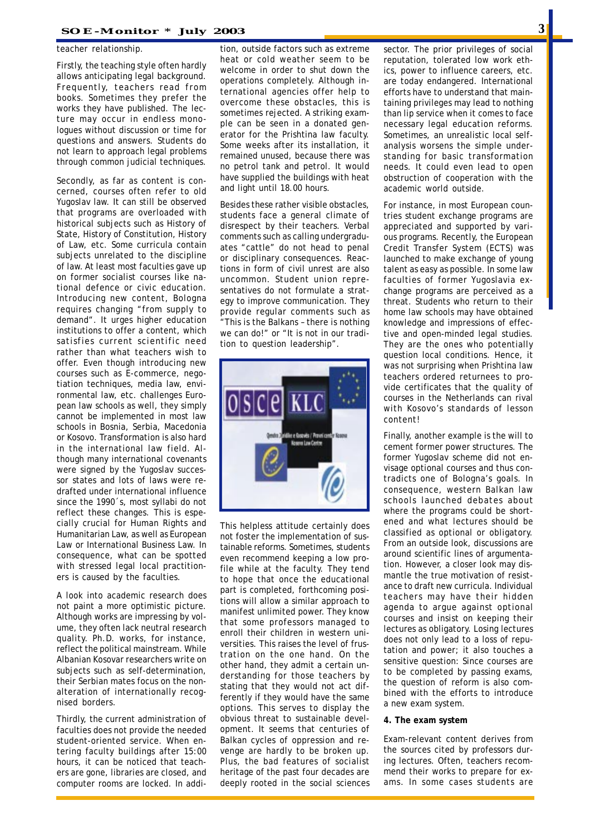#### teacher relationship.

Firstly, the teaching style often hardly allows anticipating legal background. Frequently, teachers read from books. Sometimes they prefer the works they have published. The lecture may occur in endless monologues without discussion or time for questions and answers. Students do not learn to approach legal problems through common judicial techniques.

Secondly, as far as content is concerned, courses often refer to old Yugoslav law. It can still be observed that programs are overloaded with historical subjects such as History of State, History of Constitution, History of Law, etc. Some curricula contain subjects unrelated to the discipline of law. At least most faculties gave up on former socialist courses like national defence or civic education. Introducing new content, Bologna requires changing "from supply to demand". It urges higher education institutions to offer a content, which satisfies current scientific need rather than what teachers wish to offer. Even though introducing new courses such as E-commerce, negotiation techniques, media law, environmental law, etc. challenges European law schools as well, they simply cannot be implemented in most law schools in Bosnia, Serbia, Macedonia or Kosovo. Transformation is also hard in the international law field. Although many international covenants were signed by the Yugoslav successor states and lots of laws were redrafted under international influence since the 1990´s, most syllabi do not reflect these changes. This is especially crucial for Human Rights and Humanitarian Law, as well as European Law or International Business Law. In consequence, what can be spotted with stressed legal local practitioners is caused by the faculties.

A look into academic research does not paint a more optimistic picture. Although works are impressing by volume, they often lack neutral research quality. Ph.D. works, for instance, reflect the political mainstream. While Albanian Kosovar researchers write on subjects such as self-determination, their Serbian mates focus on the nonalteration of internationally recognised borders.

Thirdly, the current administration of faculties does not provide the needed student-oriented service. When entering faculty buildings after 15:00 hours, it can be noticed that teachers are gone, libraries are closed, and computer rooms are locked. In addition, outside factors such as extreme heat or cold weather seem to be welcome in order to shut down the operations completely. Although international agencies offer help to overcome these obstacles, this is sometimes rejected. A striking example can be seen in a donated generator for the Prishtina law faculty. Some weeks after its installation, it remained unused, because there was no petrol tank and petrol. It would have supplied the buildings with heat and light until 18.00 hours.

Besides these rather visible obstacles, students face a general climate of disrespect by their teachers. Verbal comments such as calling undergraduates "cattle" do not head to penal or disciplinary consequences. Reactions in form of civil unrest are also uncommon. Student union representatives do not formulate a strategy to improve communication. They provide regular comments such as "This is the Balkans – there is nothing we can do!" or "It is not in our tradition to question leadership".



This helpless attitude certainly does not foster the implementation of sustainable reforms. Sometimes, students even recommend keeping a low profile while at the faculty. They tend to hope that once the educational part is completed, forthcoming positions will allow a similar approach to manifest unlimited power. They know that some professors managed to enroll their children in western universities. This raises the level of frustration on the one hand. On the other hand, they admit a certain understanding for those teachers by stating that they would not act differently if they would have the same options. This serves to display the obvious threat to sustainable development. It seems that centuries of Balkan cycles of oppression and revenge are hardly to be broken up. Plus, the bad features of socialist heritage of the past four decades are deeply rooted in the social sciences

sector. The prior privileges of social reputation, tolerated low work ethics, power to influence careers, etc. are today endangered. International efforts have to understand that maintaining privileges may lead to nothing than lip service when it comes to face necessary legal education reforms. Sometimes, an unrealistic local selfanalysis worsens the simple understanding for basic transformation needs. It could even lead to open obstruction of cooperation with the academic world outside.

For instance, in most European countries student exchange programs are appreciated and supported by various programs. Recently, the European Credit Transfer System (ECTS) was launched to make exchange of young talent as easy as possible. In some law faculties of former Yugoslavia exchange programs are perceived as a threat. Students who return to their home law schools may have obtained knowledge and impressions of effective and open-minded legal studies. They are the ones who potentially question local conditions. Hence, it was not surprising when Prishtina law teachers ordered returnees to provide certificates that the quality of courses in the Netherlands can rival with Kosovo's standards of lesson content!

Finally, another example is the will to cement former power structures. The former Yugoslav scheme did not envisage optional courses and thus contradicts one of Bologna's goals. In consequence, western Balkan law schools launched debates about where the programs could be shortened and what lectures should be classified as optional or obligatory. From an outside look, discussions are around scientific lines of argumentation. However, a closer look may dismantle the true motivation of resistance to draft new curricula. Individual teachers may have their hidden agenda to argue against optional courses and insist on keeping their lectures as obligatory. Losing lectures does not only lead to a loss of reputation and power; it also touches a sensitive question: Since courses are to be completed by passing exams, the question of reform is also combined with the efforts to introduce a new exam system.

#### **4. The exam system**

Exam-relevant content derives from the sources cited by professors during lectures. Often, teachers recommend their works to prepare for exams. In some cases students are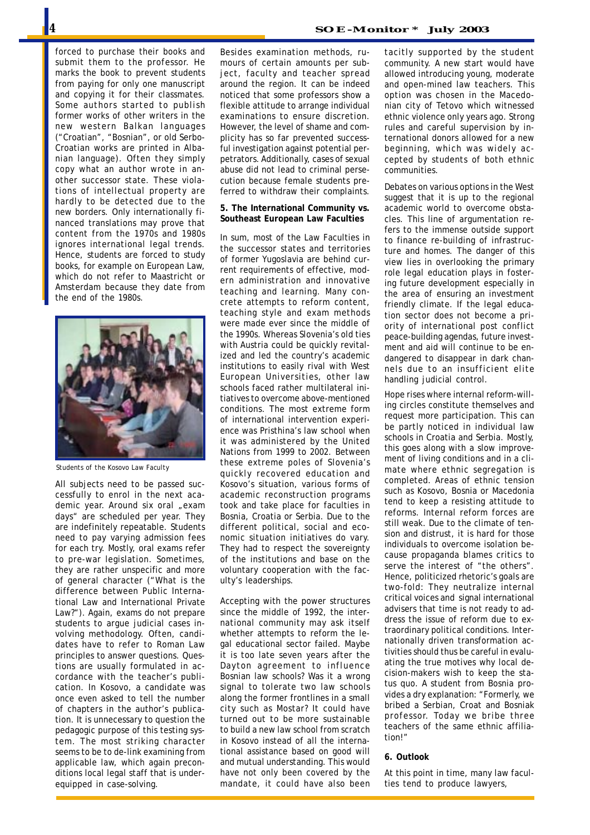forced to purchase their books and submit them to the professor. He marks the book to prevent students from paying for only one manuscript and copying it for their classmates. Some authors started to publish former works of other writers in the new western Balkan languages ("Croatian", "Bosnian", or old Serbo-Croatian works are printed in Albanian language). Often they simply copy what an author wrote in another successor state. These violations of intellectual property are hardly to be detected due to the new borders. Only internationally financed translations may prove that content from the 1970s and 1980s ignores international legal trends. Hence, students are forced to study books, for example on European Law, which do not refer to Maastricht or Amsterdam because they date from the end of the 1980s.



*Students of the Kosovo Law Faculty*

All subjects need to be passed successfully to enrol in the next academic year. Around six oral "exam days" are scheduled per year. They are indefinitely repeatable. Students need to pay varying admission fees for each try. Mostly, oral exams refer to pre-war legislation. Sometimes, they are rather unspecific and more of general character ("What is the difference between Public International Law and International Private Law?"). Again, exams do not prepare students to argue judicial cases involving methodology. Often, candidates have to refer to Roman Law principles to answer questions. Questions are usually formulated in accordance with the teacher's publication. In Kosovo, a candidate was once even asked to tell the number of chapters in the author's publication. It is unnecessary to question the pedagogic purpose of this testing system. The most striking character seems to be to de-link examining from applicable law, which again preconditions local legal staff that is underequipped in case-solving.

Besides examination methods, rumours of certain amounts per subject, faculty and teacher spread around the region. It can be indeed noticed that some professors show a flexible attitude to arrange individual examinations to ensure discretion. However, the level of shame and complicity has so far prevented successful investigation against potential perpetrators. Additionally, cases of sexual abuse did not lead to criminal persecution because female students preferred to withdraw their complaints.

**5. The International Community vs. Southeast European Law Faculties**

In sum, most of the Law Faculties in the successor states and territories of former Yugoslavia are behind current requirements of effective, modern administration and innovative teaching and learning. Many concrete attempts to reform content, teaching style and exam methods were made ever since the middle of the 1990s. Whereas Slovenia's old ties with Austria could be quickly revitalized and led the country's academic institutions to easily rival with West European Universities, other law schools faced rather multilateral initiatives to overcome above-mentioned conditions. The most extreme form of international intervention experience was Pristhina's law school when it was administered by the United Nations from 1999 to 2002. Between these extreme poles of Slovenia's quickly recovered education and Kosovo's situation, various forms of academic reconstruction programs took and take place for faculties in Bosnia, Croatia or Serbia. Due to the different political, social and economic situation initiatives do vary. They had to respect the sovereignty of the institutions and base on the voluntary cooperation with the faculty's leaderships.

Accepting with the power structures since the middle of 1992, the international community may ask itself whether attempts to reform the legal educational sector failed. Maybe it is too late seven years after the Dayton agreement to influence Bosnian law schools? Was it a wrong signal to tolerate two law schools along the former frontlines in a small city such as Mostar? It could have turned out to be more sustainable to build a new law school from scratch in Kosovo instead of all the international assistance based on good will and mutual understanding. This would have not only been covered by the mandate, it could have also been

tacitly supported by the student community. A new start would have allowed introducing young, moderate and open-mined law teachers. This option was chosen in the Macedonian city of Tetovo which witnessed ethnic violence only years ago. Strong rules and careful supervision by international donors allowed for a new beginning, which was widely accepted by students of both ethnic communities.

Debates on various options in the West suggest that it is up to the regional academic world to overcome obstacles. This line of argumentation refers to the immense outside support to finance re-building of infrastructure and homes. The danger of this view lies in overlooking the primary role legal education plays in fostering future development especially in the area of ensuring an investment friendly climate. If the legal education sector does not become a priority of international post conflict peace-building agendas, future investment and aid will continue to be endangered to disappear in dark channels due to an insufficient elite handling judicial control.

Hope rises where internal reform-willing circles constitute themselves and request more participation. This can be partly noticed in individual law schools in Croatia and Serbia. Mostly, this goes along with a slow improvement of living conditions and in a climate where ethnic segregation is completed. Areas of ethnic tension such as Kosovo, Bosnia or Macedonia tend to keep a resisting attitude to reforms. Internal reform forces are still weak. Due to the climate of tension and distrust, it is hard for those individuals to overcome isolation because propaganda blames critics to serve the interest of "the others". Hence, politicized rhetoric's goals are two-fold: They neutralize internal critical voices and signal international advisers that time is not ready to address the issue of reform due to extraordinary political conditions. Internationally driven transformation activities should thus be careful in evaluating the true motives why local decision-makers wish to keep the status quo. A student from Bosnia provides a dry explanation: "Formerly, we bribed a Serbian, Croat and Bosniak professor. Today we bribe three teachers of the same ethnic affiliation!"

#### **6. Outlook**

At this point in time, many law faculties tend to produce lawyers,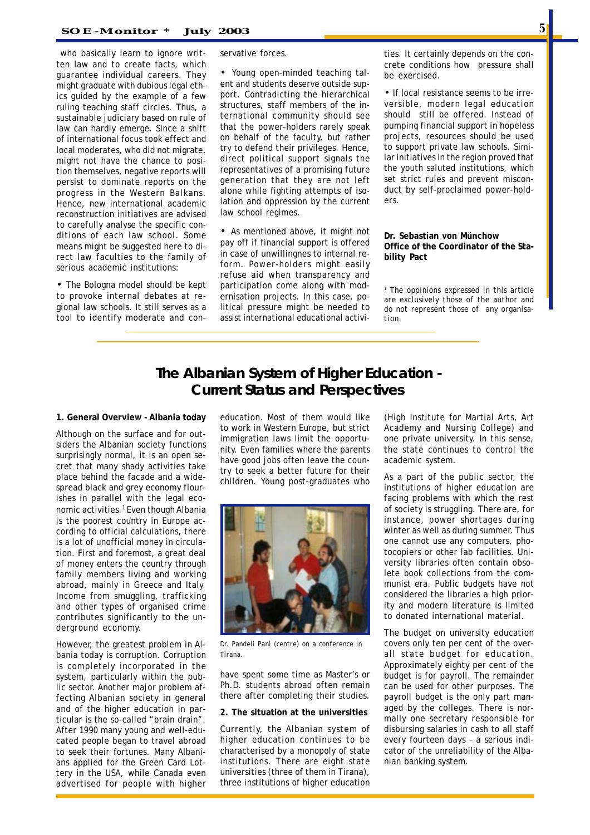who basically learn to ignore written law and to create facts, which guarantee individual careers. They might graduate with dubious legal ethics guided by the example of a few ruling teaching staff circles. Thus, a sustainable judiciary based on rule of law can hardly emerge. Since a shift of international focus took effect and local moderates, who did not migrate, might not have the chance to position themselves, negative reports will persist to dominate reports on the progress in the Western Balkans. Hence, new international academic reconstruction initiatives are advised to carefully analyse the specific conditions of each law school. Some means might be suggested here to direct law faculties to the family of serious academic institutions:

• The Bologna model should be kept to provoke internal debates at regional law schools. It still serves as a tool to identify moderate and conservative forces.

• Young open-minded teaching talent and students deserve outside support. Contradicting the hierarchical structures, staff members of the international community should see that the power-holders rarely speak on behalf of the faculty, but rather try to defend their privileges. Hence, direct political support signals the representatives of a promising future generation that they are not left alone while fighting attempts of isolation and oppression by the current law school regimes.

• As mentioned above, it might not pay off if financial support is offered in case of unwillingnes to internal reform. Power-holders might easily refuse aid when transparency and participation come along with modernisation projects. In this case, political pressure might be needed to assist international educational activities. It certainly depends on the concrete conditions how pressure shall be exercised.

• If local resistance seems to be irreversible, modern legal education should still be offered. Instead of pumping financial support in hopeless projects, resources should be used to support private law schools. Similar initiatives in the region proved that the youth saluted institutions, which set strict rules and prevent misconduct by self-proclaimed power-holders.

**Dr. Sebastian von Münchow Office of the Coordinator of the Stability Pact**

*1 The oppinions expressed in this article are exclusively those of the author and do not represent those of any organisation.*

## **The Albanian System of Higher Education - Current Status and Perspectives**

#### **1. General Overview - Albania today**

Although on the surface and for outsiders the Albanian society functions surprisingly normal, it is an open secret that many shady activities take place behind the facade and a widespread black and grey economy flourishes in parallel with the legal economic activities.<sup>1</sup> Even though Albania is the poorest country in Europe according to official calculations, there is a lot of unofficial money in circulation. First and foremost, a great deal of money enters the country through family members living and working abroad, mainly in Greece and Italy. Income from smuggling, trafficking and other types of organised crime contributes significantly to the underground economy.

However, the greatest problem in Albania today is corruption. Corruption is completely incorporated in the system, particularly within the public sector. Another major problem affecting Albanian society in general and of the higher education in particular is the so-called "brain drain". After 1990 many young and well-educated people began to travel abroad to seek their fortunes. Many Albanians applied for the Green Card Lottery in the USA, while Canada even advertised for people with higher

education. Most of them would like to work in Western Europe, but strict immigration laws limit the opportunity. Even families where the parents have good jobs often leave the country to seek a better future for their children. Young post-graduates who



*Dr. Pandeli Pani (centre) on a conference in Tirana.*

have spent some time as Master's or Ph.D. students abroad often remain there after completing their studies.

#### **2. The situation at the universities**

Currently, the Albanian system of higher education continues to be characterised by a monopoly of state institutions. There are eight state universities (three of them in Tirana), three institutions of higher education

(High Institute for Martial Arts, Art Academy and Nursing College) and one private university. In this sense, the state continues to control the academic system.

As a part of the public sector, the institutions of higher education are facing problems with which the rest of society is struggling. There are, for instance, power shortages during winter as well as during summer. Thus one cannot use any computers, photocopiers or other lab facilities. University libraries often contain obsolete book collections from the communist era. Public budgets have not considered the libraries a high priority and modern literature is limited to donated international material.

The budget on university education covers only ten per cent of the overall state budget for education. Approximately eighty per cent of the budget is for payroll. The remainder can be used for other purposes. The payroll budget is the only part managed by the colleges. There is normally one secretary responsible for disbursing salaries in cash to all staff every fourteen days – a serious indicator of the unreliability of the Albanian banking system.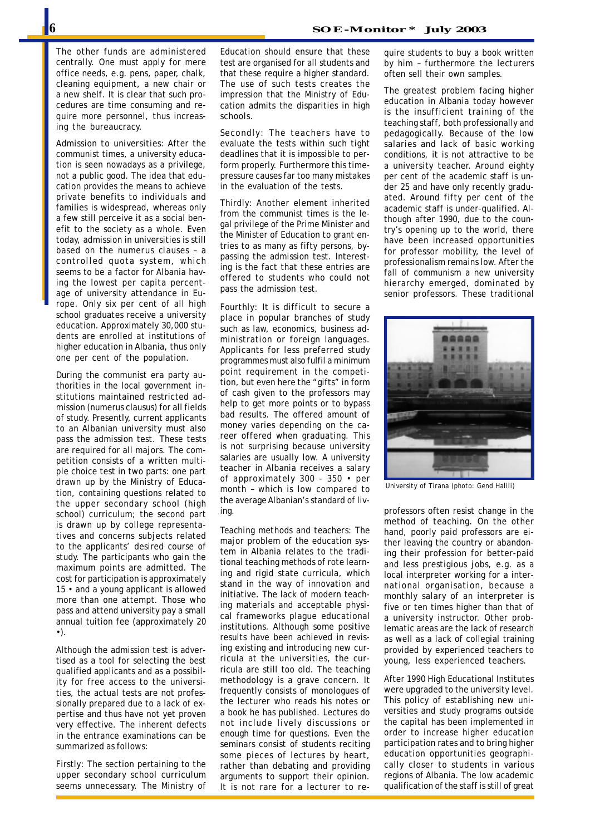The other funds are administered centrally. One must apply for mere office needs, e.g. pens, paper, chalk, cleaning equipment, a new chair or a new shelf. It is clear that such procedures are time consuming and require more personnel, thus increasing the bureaucracy.

*Admission to universities:* After the communist times, a university education is seen nowadays as a privilege, not a public good. The idea that education provides the means to achieve private benefits to individuals and families is widespread, whereas only a few still perceive it as a social benefit to the society as a whole. Even today, admission in universities is still based on the *numerus clauses* – a controlled quota system, which seems to be a factor for Albania having the lowest per capita percentage of university attendance in Europe. Only six per cent of all high school graduates receive a university education. Approximately 30,000 students are enrolled at institutions of higher education in Albania, thus only one per cent of the population.

During the communist era party authorities in the local government institutions maintained restricted admission (numerus clausus) for all fields of study. Presently, current applicants to an Albanian university must also pass the admission test. These tests are required for all majors. The competition consists of a written multiple choice test in two parts: one part drawn up by the Ministry of Education, containing questions related to the upper secondary school (high school) curriculum; the second part is drawn up by college representatives and concerns subjects related to the applicants' desired course of study. The participants who gain the maximum points are admitted. The cost for participation is approximately 15 • and a young applicant is allowed more than one attempt. Those who pass and attend university pay a small annual tuition fee (approximately 20 •).

Although the admission test is advertised as a tool for selecting the best qualified applicants and as a possibility for free access to the universities, the actual tests are not professionally prepared due to a lack of expertise and thus have not yet proven very effective. The inherent defects in the entrance examinations can be summarized as follows:

Firstly: The section pertaining to the upper secondary school curriculum seems unnecessary. The Ministry of Education should ensure that these test are organised for all students and that these require a higher standard. The use of such tests creates the impression that the Ministry of Education admits the disparities in high schools.

Secondly: The teachers have to evaluate the tests within such tight deadlines that it is impossible to perform properly. Furthermore this timepressure causes far too many mistakes in the evaluation of the tests.

Thirdly: Another element inherited from the communist times is the legal privilege of the Prime Minister and the Minister of Education to grant entries to as many as fifty persons, bypassing the admission test. Interesting is the fact that these entries are offered to students who could not pass the admission test.

Fourthly: It is difficult to secure a place in popular branches of study such as law, economics, business administration or foreign languages. Applicants for less preferred study programmes must also fulfil a minimum point requirement in the competition, but even here the "gifts" in form of cash given to the professors may help to get more points or to bypass bad results. The offered amount of money varies depending on the career offered when graduating. This is not surprising because university salaries are usually low. A university teacher in Albania receives a salary of approximately 300 - 350 • per month – which is low compared to the average Albanian's standard of living.

*Teaching methods and teachers:* The major problem of the education system in Albania relates to the traditional teaching methods of rote learning and rigid state curricula, which stand in the way of innovation and initiative. The lack of modern teaching materials and acceptable physical frameworks plague educational institutions. Although some positive results have been achieved in revising existing and introducing new curricula at the universities, the curricula are still too old. The teaching methodology is a grave concern. It frequently consists of monologues of the lecturer who reads his notes or a book he has published. Lectures do not include lively discussions or enough time for questions. Even the seminars consist of students reciting some pieces of lectures by heart, rather than debating and providing arguments to support their opinion. It is not rare for a lecturer to require students to buy a book written by him – furthermore the lecturers often sell their own samples.

The greatest problem facing higher education in Albania today however is the insufficient training of the teaching staff, both professionally and pedagogically. Because of the low salaries and lack of basic working conditions, it is not attractive to be a university teacher. Around eighty per cent of the academic staff is under 25 and have only recently graduated. Around fifty per cent of the academic staff is under-qualified. Although after 1990, due to the country's opening up to the world, there have been increased opportunities for professor mobility, the level of professionalism remains low. After the fall of communism a new university hierarchy emerged, dominated by senior professors. These traditional



*University of Tirana (photo: Gend Halili)*

professors often resist change in the method of teaching. On the other hand, poorly paid professors are either leaving the country or abandoning their profession for better-paid and less prestigious jobs, e.g. as a local interpreter working for a international organisation, because a monthly salary of an interpreter is five or ten times higher than that of a university instructor. Other problematic areas are the lack of research as well as a lack of collegial training provided by experienced teachers to young, less experienced teachers.

After 1990 High Educational Institutes were upgraded to the university level. This policy of establishing new universities and study programs outside the capital has been implemented in order to increase higher education participation rates and to bring higher education opportunities geographically closer to students in various regions of Albania. The low academic qualification of the staff is still of great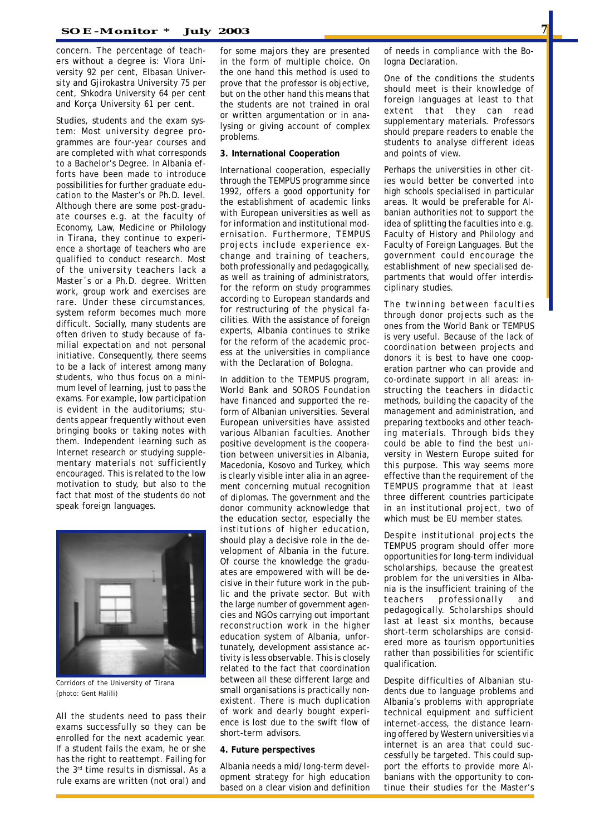concern. The percentage of teachers without a degree is: Vlora University 92 per cent, Elbasan University and Gjirokastra University 75 per cent, Shkodra University 64 per cent and Korça University 61 per cent.

*Studies, students and the exam system:* Most university degree programmes are four-year courses and are completed with what corresponds to a Bachelor's Degree. In Albania efforts have been made to introduce possibilities for further graduate education to the Master's or Ph.D. level. Although there are some post-graduate courses e.g. at the faculty of Economy, Law, Medicine or Philology in Tirana, they continue to experience a shortage of teachers who are qualified to conduct research. Most of the university teachers lack a Master´s or a Ph.D. degree. Written work, group work and exercises are rare. Under these circumstances, system reform becomes much more difficult. Socially, many students are often driven to study because of familial expectation and not personal initiative. Consequently, there seems to be a lack of interest among many students, who thus focus on a minimum level of learning, just to pass the exams. For example, low participation is evident in the auditoriums; students appear frequently without even bringing books or taking notes with them. Independent learning such as Internet research or studying supplementary materials not sufficiently encouraged. This is related to the low motivation to study, but also to the fact that most of the students do not speak foreign languages.



*Corridors of the University of Tirana (photo: Gent Halili)*

All the students need to pass their exams successfully so they can be enrolled for the next academic year. If a student fails the exam, he or she has the right to reattempt. Failing for the 3rd time results in dismissal. As a rule exams are written (not oral) and for some majors they are presented in the form of multiple choice. On the one hand this method is used to prove that the professor is objective, but on the other hand this means that the students are not trained in oral or written argumentation or in analysing or giving account of complex problems.

#### **3. International Cooperation**

International cooperation, especially through the TEMPUS programme since 1992, offers a good opportunity for the establishment of academic links with European universities as well as for information and institutional modernisation. Furthermore, TEMPUS projects include experience exchange and training of teachers, both professionally and pedagogically, as well as training of administrators, for the reform on study programmes according to European standards and for restructuring of the physical facilities. With the assistance of foreign experts, Albania continues to strike for the reform of the academic process at the universities in compliance with the Declaration of Bologna.

In addition to the TEMPUS program, World Bank and SOROS Foundation have financed and supported the reform of Albanian universities. Several European universities have assisted various Albanian faculties. Another positive development is the cooperation between universities in Albania, Macedonia, Kosovo and Turkey, which is clearly visible inter alia in an agreement concerning mutual recognition of diplomas. The government and the donor community acknowledge that the education sector, especially the institutions of higher education, should play a decisive role in the development of Albania in the future. Of course the knowledge the graduates are empowered with will be decisive in their future work in the public and the private sector. But with the large number of government agencies and NGOs carrying out important reconstruction work in the higher education system of Albania, unfortunately, development assistance activity is less observable. This is closely related to the fact that coordination between all these different large and small organisations is practically nonexistent. There is much duplication of work and dearly bought experience is lost due to the swift flow of short-term advisors.

#### **4. Future perspectives**

Albania needs a mid/long-term development strategy for high education based on a clear vision and definition of needs in compliance with the Bologna Declaration.

One of the conditions the students should meet is their knowledge of foreign languages at least to that extent that they can read supplementary materials. Professors should prepare readers to enable the students to analyse different ideas and points of view.

Perhaps the universities in other cities would better be converted into high schools specialised in particular areas. It would be preferable for Albanian authorities not to support the idea of splitting the faculties into e.g. Faculty of History and Philology and Faculty of Foreign Languages. But the government could encourage the establishment of new specialised departments that would offer interdisciplinary studies.

The twinning between faculties through donor projects such as the ones from the World Bank or TEMPUS is very useful. Because of the lack of coordination between projects and donors it is best to have one cooperation partner who can provide and co-ordinate support in all areas: instructing the teachers in didactic methods, building the capacity of the management and administration, and preparing textbooks and other teaching materials. Through bids they could be able to find the best university in Western Europe suited for this purpose. This way seems more effective than the requirement of the TEMPUS programme that at least three different countries participate in an institutional project, two of which must be EU member states.

Despite institutional projects the TEMPUS program should offer more opportunities for long-term individual scholarships, because the greatest problem for the universities in Albania is the insufficient training of the teachers professionally and pedagogically. Scholarships should last at least six months, because short-term scholarships are considered more as tourism opportunities rather than possibilities for scientific qualification.

Despite difficulties of Albanian students due to language problems and Albania's problems with appropriate technical equipment and sufficient internet-access, the distance learning offered by Western universities via internet is an area that could successfully be targeted. This could support the efforts to provide more Albanians with the opportunity to continue their studies for the Master's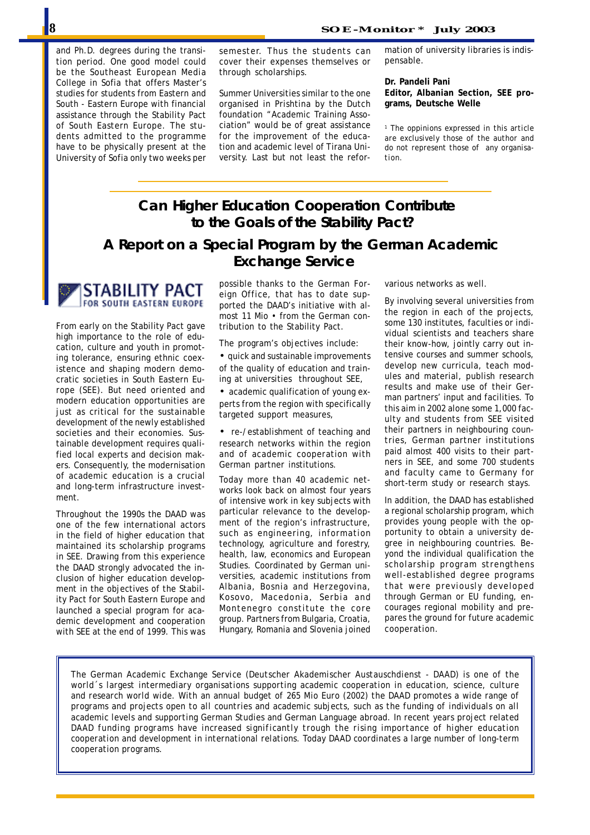and Ph.D. degrees during the transition period. One good model could be the Southeast European Media College in Sofia that offers Master's studies for students from Eastern and South - Eastern Europe with financial assistance through the Stability Pact of South Eastern Europe. The students admitted to the programme have to be physically present at the University of Sofia only two weeks per semester. Thus the students can cover their expenses themselves or through scholarships.

Summer Universities similar to the one organised in Prishtina by the Dutch foundation "Academic Training Association" would be of great assistance for the improvement of the education and academic level of Tirana University. Last but not least the refor-

mation of university libraries is indispensable.

**Dr. Pandeli Pani**

**Editor, Albanian Section, SEE programs, Deutsche Welle**

*1 The oppinions expressed in this article are exclusively those of the author and do not represent those of any organisation.*

# **Can Higher Education Cooperation Contribute to the Goals of the Stability Pact?**

### **A Report on a Special Program by the German Academic Exchange Service**



From early on the Stability Pact gave high importance to the role of education, culture and youth in promoting tolerance, ensuring ethnic coexistence and shaping modern democratic societies in South Eastern Europe (SEE). But need oriented and modern education opportunities are just as critical for the sustainable development of the newly established societies and their economies. Sustainable development requires qualified local experts and decision makers. Consequently, the modernisation of academic education is a crucial and long-term infrastructure investment.

Throughout the 1990s the DAAD was one of the few international actors in the field of higher education that maintained its scholarship programs in SEE. Drawing from this experience the DAAD strongly advocated the inclusion of higher education development in the objectives of the Stability Pact for South Eastern Europe and launched a special program for academic development and cooperation with SEE at the end of 1999. This was

possible thanks to the German Foreign Office, that has to date supported the DAAD's initiative with almost 11 Mio • from the German contribution to the Stability Pact.

The program's objectives include:

• quick and sustainable improvements of the quality of education and training at universities throughout SEE,

• academic qualification of young experts from the region with specifically targeted support measures,

• re-/establishment of teaching and research networks within the region and of academic cooperation with German partner institutions.

Today more than 40 academic networks look back on almost four years of intensive work in key subjects with particular relevance to the development of the region's infrastructure, such as engineering, information technology, agriculture and forestry, health, law, economics and European Studies. Coordinated by German universities, academic institutions from Albania, Bosnia and Herzegovina, Kosovo, Macedonia, Serbia and Montenegro constitute the core group. Partners from Bulgaria, Croatia, Hungary, Romania and Slovenia joined

various networks as well.

By involving several universities from the region in each of the projects, some 130 institutes, faculties or individual scientists and teachers share their know-how, jointly carry out intensive courses and summer schools, develop new curricula, teach modules and material, publish research results and make use of their German partners' input and facilities. To this aim in 2002 alone some 1,000 faculty and students from SEE visited their partners in neighbouring countries, German partner institutions paid almost 400 visits to their partners in SEE, and some 700 students and faculty came to Germany for short-term study or research stays.

In addition, the DAAD has established a regional scholarship program, which provides young people with the opportunity to obtain a university degree in neighbouring countries. Beyond the individual qualification the scholarship program strengthens well-established degree programs that were previously developed through German or EU funding, encourages regional mobility and prepares the ground for future academic cooperation.

*The German Academic Exchange Service (Deutscher Akademischer Austauschdienst - DAAD) is one of the world´s largest intermediary organisations supporting academic cooperation in education, science, culture and research world wide. With an annual budget of 265 Mio Euro (2002) the DAAD promotes a wide range of programs and projects open to all countries and academic subjects, such as the funding of individuals on all academic levels and supporting German Studies and German Language abroad. In recent years project related DAAD funding programs have increased significantly trough the rising importance of higher education cooperation and development in international relations. Today DAAD coordinates a large number of long-term cooperation programs.*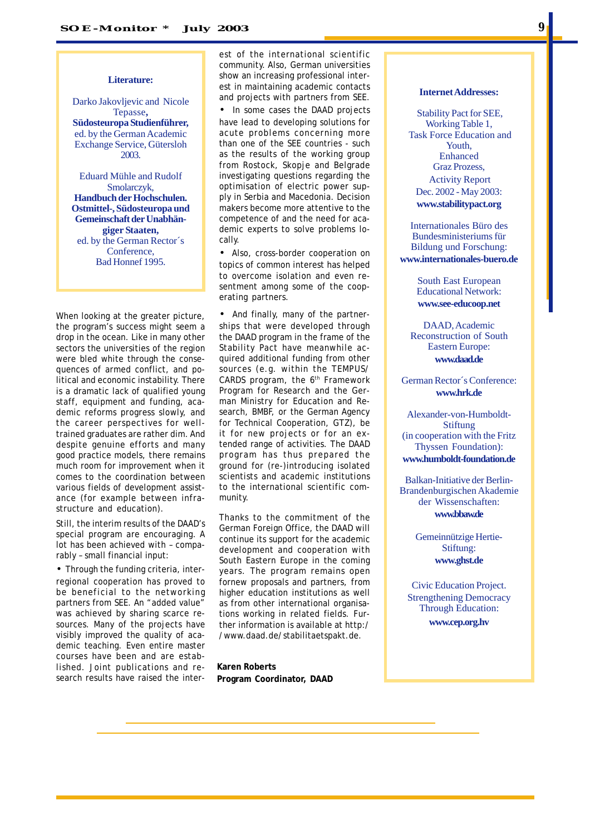#### **Literature:**

Darko Jakovljevic and Nicole Tepasse**, Südosteuropa Studienführer,** ed. by the German Academic Exchange Service, Gütersloh 2003.

Eduard Mühle and Rudolf Smolarczyk, **Handbuch der Hochschulen. Ostmittel-, Südosteuropa und Gemeinschaft der Unabhängiger Staaten,** ed. by the German Rector´s Conference, Bad Honnef 1995.

When looking at the greater picture, the program's success might seem a drop in the ocean. Like in many other sectors the universities of the region were bled white through the consequences of armed conflict, and political and economic instability. There is a dramatic lack of qualified young staff, equipment and funding, academic reforms progress slowly, and the career perspectives for welltrained graduates are rather dim. And despite genuine efforts and many good practice models, there remains much room for improvement when it comes to the coordination between various fields of development assistance (for example between infrastructure and education).

Still, the interim results of the DAAD's special program are encouraging. A lot has been achieved with – comparably – small financial input:

• Through the funding criteria, interregional cooperation has proved to be beneficial to the networking partners from SEE. An "added value" was achieved by sharing scarce resources. Many of the projects have visibly improved the quality of academic teaching. Even entire master courses have been and are established. Joint publications and research results have raised the interest of the international scientific community. Also, German universities show an increasing professional interest in maintaining academic contacts and projects with partners from SEE.

In some cases the DAAD projects have lead to developing solutions for acute problems concerning more than one of the SEE countries - such as the results of the working group from Rostock, Skopje and Belgrade investigating questions regarding the optimisation of electric power supply in Serbia and Macedonia. Decision makers become more attentive to the competence of and the need for academic experts to solve problems locally.

• Also, cross-border cooperation on topics of common interest has helped to overcome isolation and even resentment among some of the cooperating partners.

• And finally, many of the partnerships that were developed through the DAAD program in the frame of the Stability Pact have meanwhile acquired additional funding from other sources (e.g. within the TEMPUS/ CARDS program, the 6th Framework Program for Research and the German Ministry for Education and Research, BMBF, or the German Agency for Technical Cooperation, GTZ), be it for new projects or for an extended range of activities. The DAAD program has thus prepared the ground for (re-)introducing isolated scientists and academic institutions to the international scientific community.

Thanks to the commitment of the German Foreign Office, the DAAD will continue its support for the academic development and cooperation with South Eastern Europe in the coming years. The program remains open fornew proposals and partners, from higher education institutions as well as from other international organisations working in related fields. Further information is available at http:/ /www.daad.de/stabilitaetspakt.de.

**Karen Roberts Program Coordinator, DAAD**

#### **Internet Addresses:**

 Stability Pact for SEE, Working Table 1, Task Force Education and Youth, Enhanced Graz Prozess, Activity Report Dec. 2002 - May 2003: **www.stabilitypact.org**

Internationales Büro des Bundesministeriums für Bildung und Forschung: **www.internationales-buero.de**

> South East European Educational Network: **www.see-educoop.net**

DAAD, Academic Reconstruction of South Eastern Europe: **www.daad.de**

German Rector´s Conference: **www.hrk.de**

Alexander-von-Humboldt-Stiftung (in cooperation with the Fritz Thyssen Foundation): **www.humboldt-foundation.de**

Balkan-Initiative der Berlin-Brandenburgischen Akademie der Wissenschaften: **www.bbaw.de**

> Gemeinnützige Hertie-Stiftung: **www.ghst.de**

Civic Education Project. Strengthening Democracy Through Education:

**www.cep.org.hv**